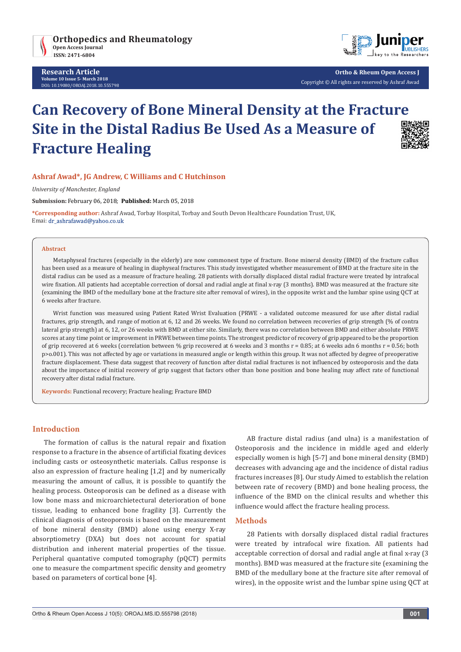

**Research Article Volume 10 Issue 5- March 2018** DOI**:** [10.19080/OROAJ.2018.10.555798](http://dx.doi.org/10.19080/OROAJ.2018.10.555798)



**Ortho & Rheum Open Access J** Copyright © All rights are reserved by Ashraf Awad

# **Can Recovery of Bone Mineral Density at the Fracture Site in the Distal Radius Be Used As a Measure of Fracture Healing**



# **Ashraf Awad\*, JG Andrew, C Williams and C Hutchinson**

*University of Manchester, England*

**Submission:** February 06, 2018; **Published:** March 05, 2018

**\*Corresponding author:** Ashraf Awad, Torbay Hospital, Torbay and South Devon Healthcare Foundation Trust, UK, Emai: dr\_ashrafawad@yahoo.co.uk

#### **Abstract**

Metaphyseal fractures (especially in the elderly) are now commonest type of fracture. Bone mineral density (BMD) of the fracture callus has been used as a measure of healing in diaphyseal fractures. This study investigated whether measurement of BMD at the fracture site in the distal radius can be used as a measure of fracture healing. 28 patients with dorsally displaced distal radial fracture were treated by intrafocal wire fixation. All patients had acceptable correction of dorsal and radial angle at final x-ray (3 months). BMD was measured at the fracture site (examining the BMD of the medullary bone at the fracture site after removal of wires), in the opposite wrist and the lumbar spine using QCT at 6 weeks after fracture.

Wrist function was measured using Patient Rated Wrist Evaluation (PRWE - a validated outcome measured for use after distal radial fractures, grip strength, and range of motion at 6, 12 and 26 weeks. We found no correlation between recoveries of grip strength (% of contra lateral grip strength) at 6, 12, or 26 weeks with BMD at either site. Similarly, there was no correlation between BMD and either absolute PRWE scores at any time point or improvement in PRWE between time points. The strongest predictor of recovery of grip appeared to be the proportion of grip recovered at 6 weeks (correlation between % grip recovered at 6 weeks and 3 months r = 0.85; at 6 weeks adn 6 months r = 0.56; both p>o.001). This was not affected by age or variations in measured angle or length within this group. It was not affected by degree of preoperative fracture displacement. These data suggest that recovery of function after distal radial fractures is not influenced by osteoporosis and the data about the importance of initial recovery of grip suggest that factors other than bone position and bone healing may affect rate of functional recovery after distal radial fracture.

**Keywords:** Functional recovery; Fracture healing; Fracture BMD

## **Introduction**

The formation of callus is the natural repair and fixation response to a fracture in the absence of artificial fixating devices including casts or osteosynthetic materials. Callus response is also an expression of fracture healing [1,2] and by numerically measuring the amount of callus, it is possible to quantify the healing process. Osteoporosis can be defined as a disease with low bone mass and microarchietectural deterioration of bone tissue, leading to enhanced bone fragility [3]. Currently the clinical diagnosis of osteoporosis is based on the measurement of bone mineral density (BMD) alone using energy X-ray absorptiometry (DXA) but does not account for spatial distribution and inherent material properties of the tissue. Peripheral quantative computed tomography (pQCT) permits one to measure the compartment specific density and geometry based on parameters of cortical bone [4].

AB fracture distal radius (and ulna) is a manifestation of Osteoporosis and the incidence in middle aged and elderly especially women is high [5-7] and bone mineral density (BMD) decreases with advancing age and the incidence of distal radius fractures increases [8]. Our study Aimed to establish the relation between rate of recovery (BMD) and bone healing process, the influence of the BMD on the clinical results and whether this influence would affect the fracture healing process.

#### **Methods**

28 Patients with dorsally displaced distal radial fractures were treated by intrafocal wire fixation. All patients had acceptable correction of dorsal and radial angle at final x-ray (3 months). BMD was measured at the fracture site (examining the BMD of the medullary bone at the fracture site after removal of wires), in the opposite wrist and the lumbar spine using QCT at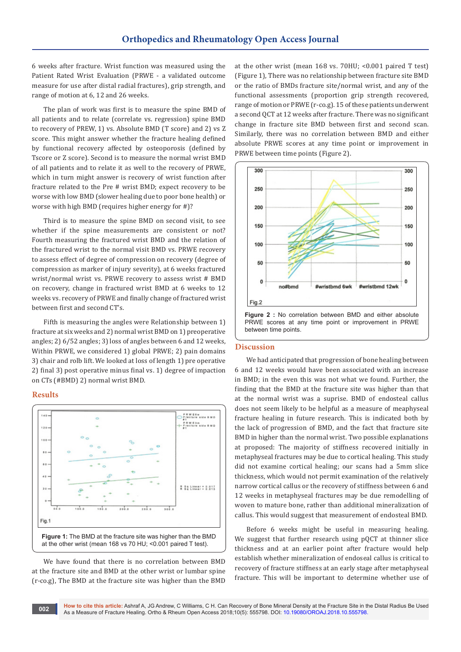6 weeks after fracture. Wrist function was measured using the Patient Rated Wrist Evaluation (PRWE - a validated outcome measure for use after distal radial fractures), grip strength, and range of motion at 6, 12 and 26 weeks.

The plan of work was first is to measure the spine BMD of all patients and to relate (correlate vs. regression) spine BMD to recovery of PREW, 1) vs. Absolute BMD (T score) and 2) vs Z score. This might answer whether the fracture healing defined by functional recovery affected by osteoporosis (defined by Tscore or Z score). Second is to measure the normal wrist BMD of all patients and to relate it as well to the recovery of PRWE, which in turn might answer is recovery of wrist function after fracture related to the Pre # wrist BMD; expect recovery to be worse with low BMD (slower healing due to poor bone health) or worse with high BMD (requires higher energy for #)?

Third is to measure the spine BMD on second visit, to see whether if the spine measurements are consistent or not? Fourth measuring the fractured wrist BMD and the relation of the fractured wrist to the normal visit BMD vs. PRWE recovery to assess effect of degree of compression on recovery (degree of compression as marker of injury severity), at 6 weeks fractured wrist/normal wrist vs. PRWE recovery to assess wrist # BMD on recovery, change in fractured wrist BMD at 6 weeks to 12 weeks vs. recovery of PRWE and finally change of fractured wrist between first and second CT's.

Fifth is measuring the angles were Relationship between 1) fracture at six weeks and 2) normal wrist BMD on 1) preoperative angles; 2) 6/52 angles; 3) loss of angles between 6 and 12 weeks, Within PRWE, we considered 1) global PRWE; 2) pain domains 3) chair and rolb lift. We looked at loss of length 1) pre operative 2) final 3) post operative minus final vs. 1) degree of impaction on CTs (#BMD) 2) normal wrist BMD.

## **Results**



We have found that there is no correlation between BMD at the fracture site and BMD at the other wrist or lumbar spine (r-co.g), The BMD at the fracture site was higher than the BMD

at the other wrist (mean 168 vs. 70HU; <0.001 paired T test) (Figure 1), There was no relationship between fracture site BMD or the ratio of BMDs fracture site/normal wrist, and any of the functional assessments (proportion grip strength recovered, range of motion or PRWE (r-co.g). 15 of these patients underwent a second QCT at 12 weeks after fracture. There was no significant change in fracture site BMD between first and second scan. Similarly, there was no correlation between BMD and either absolute PRWE scores at any time point or improvement in PRWE between time points (Figure 2).



#### **Discussion**

We had anticipated that progression of bone healing between 6 and 12 weeks would have been associated with an increase in BMD; in the even this was not what we found. Further, the finding that the BMD at the fracture site was higher than that at the normal wrist was a suprise. BMD of endosteal callus does not seem likely to be helpful as a measure of meaphyseal fracture healing in future research. This is indicated both by the lack of progression of BMD, and the fact that fracture site BMD in higher than the normal wrist. Two possible explanations at proposed: The majority of stiffness recovered initially in metaphyseal fractures may be due to cortical healing. This study did not examine cortical healing; our scans had a 5mm slice thickness, which would not permit examination of the relatively narrow cortical callus or the recovery of stiffness between 6 and 12 weeks in metaphyseal fractures may be due remodelling of woven to mature bone, rather than additional mineralization of callus. This would suggest that measurement of endosteal BMD.

Before 6 weeks might be useful in measuring healing. We suggest that further research using pOCT at thinner slice thickness and at an earlier point after fracture would help establish whether mineralization of endoseal callus is critical to recovery of fracture stiffness at an early stage after metaphyseal fracture. This will be important to determine whether use of